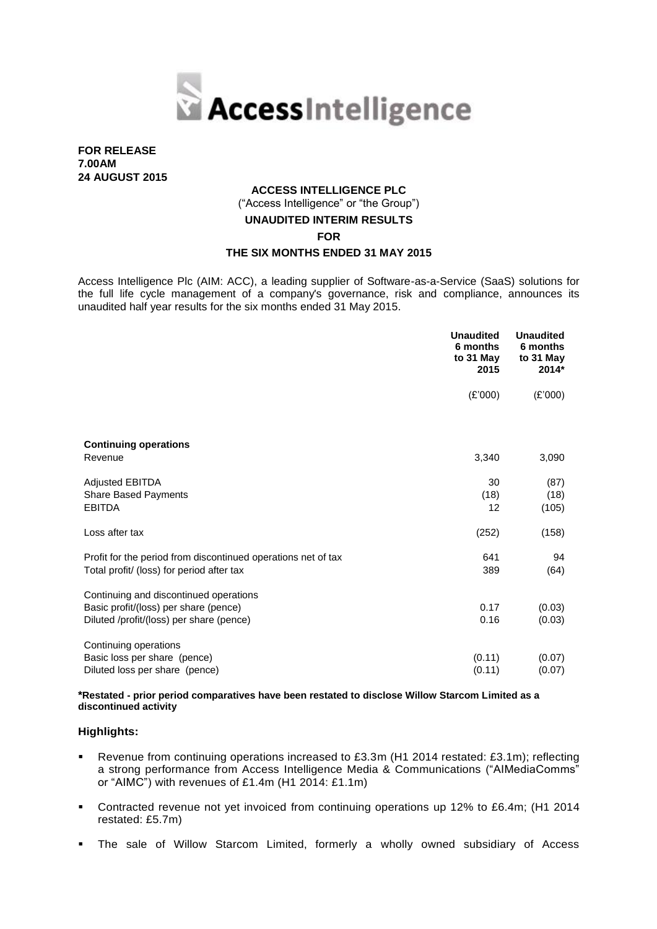

**FOR RELEASE 7.00AM 24 AUGUST 2015**

# **ACCESS INTELLIGENCE PLC**

("Access Intelligence" or "the Group")

## **UNAUDITED INTERIM RESULTS**

**FOR**

## **THE SIX MONTHS ENDED 31 MAY 2015**

Access Intelligence Plc (AIM: ACC), a leading supplier of Software-as-a-Service (SaaS) solutions for the full life cycle management of a company's governance, risk and compliance, announces its unaudited half year results for the six months ended 31 May 2015.

|                                                               | <b>Unaudited</b><br>6 months<br>to 31 May<br>2015 | <b>Unaudited</b><br>6 months<br>to 31 May<br>$2014*$ |
|---------------------------------------------------------------|---------------------------------------------------|------------------------------------------------------|
|                                                               | (E'000)                                           | (E'000)                                              |
| <b>Continuing operations</b>                                  |                                                   |                                                      |
| Revenue                                                       | 3,340                                             | 3,090                                                |
| <b>Adjusted EBITDA</b><br>Share Based Payments                | 30<br>(18)                                        | (87)<br>(18)                                         |
| <b>EBITDA</b>                                                 | 12                                                | (105)                                                |
| Loss after tax                                                | (252)                                             | (158)                                                |
| Profit for the period from discontinued operations net of tax | 641                                               | 94                                                   |
| Total profit/ (loss) for period after tax                     | 389                                               | (64)                                                 |
| Continuing and discontinued operations                        |                                                   |                                                      |
| Basic profit/(loss) per share (pence)                         | 0.17                                              | (0.03)                                               |
| Diluted /profit/(loss) per share (pence)                      | 0.16                                              | (0.03)                                               |
| Continuing operations                                         |                                                   |                                                      |
| Basic loss per share (pence)                                  | (0.11)                                            | (0.07)                                               |
| Diluted loss per share (pence)                                | (0.11)                                            | (0.07)                                               |

**\*Restated - prior period comparatives have been restated to disclose Willow Starcom Limited as a discontinued activity**

#### **Highlights:**

- Revenue from continuing operations increased to £3.3m (H1 2014 restated: £3.1m); reflecting a strong performance from Access Intelligence Media & Communications ("AIMediaComms" or "AIMC") with revenues of £1.4m (H1 2014: £1.1m)
- Contracted revenue not yet invoiced from continuing operations up 12% to £6.4m; (H1 2014 restated: £5.7m)
- The sale of Willow Starcom Limited, formerly a wholly owned subsidiary of Access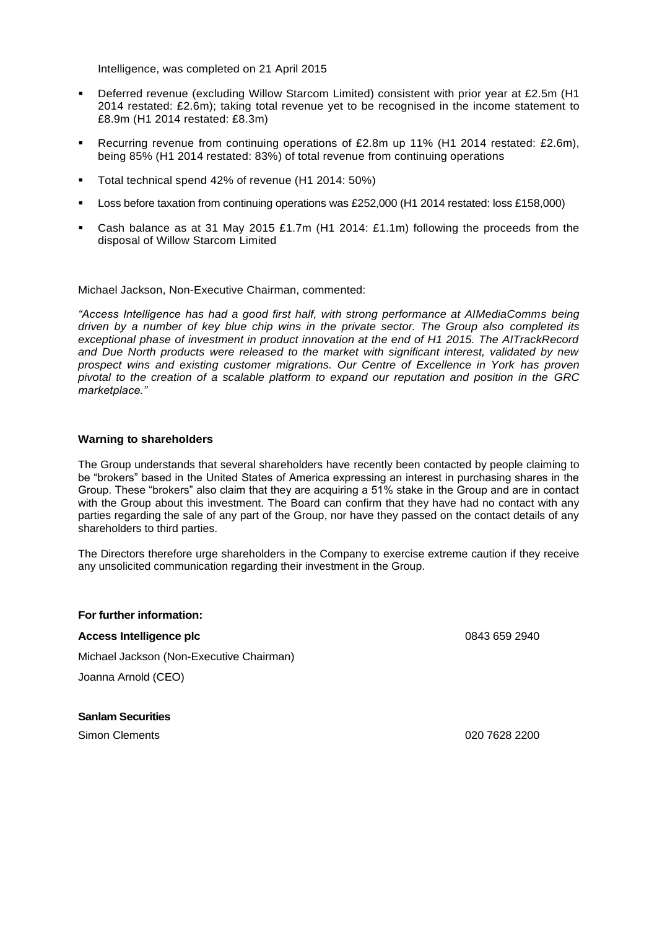Intelligence, was completed on 21 April 2015

- Deferred revenue (excluding Willow Starcom Limited) consistent with prior year at £2.5m (H1 2014 restated: £2.6m); taking total revenue yet to be recognised in the income statement to £8.9m (H1 2014 restated: £8.3m)
- Recurring revenue from continuing operations of £2.8m up 11% (H1 2014 restated: £2.6m), being 85% (H1 2014 restated: 83%) of total revenue from continuing operations
- Total technical spend 42% of revenue (H1 2014: 50%)
- Loss before taxation from continuing operations was £252,000 (H1 2014 restated: loss £158,000)
- Cash balance as at 31 May 2015 £1.7m (H1 2014: £1.1m) following the proceeds from the disposal of Willow Starcom Limited

Michael Jackson, Non-Executive Chairman, commented:

*"Access Intelligence has had a good first half, with strong performance at AIMediaComms being driven by a number of key blue chip wins in the private sector. The Group also completed its exceptional phase of investment in product innovation at the end of H1 2015. The AITrackRecord and Due North products were released to the market with significant interest, validated by new prospect wins and existing customer migrations. Our Centre of Excellence in York has proven pivotal to the creation of a scalable platform to expand our reputation and position in the GRC marketplace."*

#### **Warning to shareholders**

The Group understands that several shareholders have recently been contacted by people claiming to be "brokers" based in the United States of America expressing an interest in purchasing shares in the Group. These "brokers" also claim that they are acquiring a 51% stake in the Group and are in contact with the Group about this investment. The Board can confirm that they have had no contact with any parties regarding the sale of any part of the Group, nor have they passed on the contact details of any shareholders to third parties.

The Directors therefore urge shareholders in the Company to exercise extreme caution if they receive any unsolicited communication regarding their investment in the Group.

#### **For further information:**

#### **Access Intelligence plc** 0843 659 2940

Michael Jackson (Non-Executive Chairman)

Joanna Arnold (CEO)

**Sanlam Securities**

Simon Clements 020 7628 2200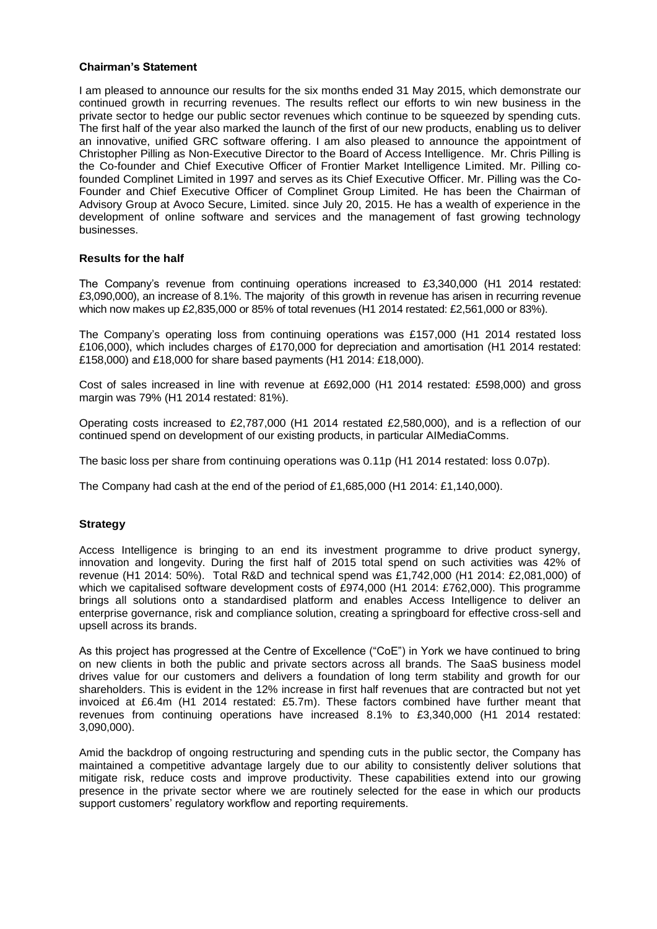#### **Chairman's Statement**

I am pleased to announce our results for the six months ended 31 May 2015, which demonstrate our continued growth in recurring revenues. The results reflect our efforts to win new business in the private sector to hedge our public sector revenues which continue to be squeezed by spending cuts. The first half of the year also marked the launch of the first of our new products, enabling us to deliver an innovative, unified GRC software offering. I am also pleased to announce the appointment of Christopher Pilling as Non-Executive Director to the Board of Access Intelligence. Mr. Chris Pilling is the Co-founder and Chief Executive Officer of Frontier Market Intelligence Limited. Mr. Pilling cofounded Complinet Limited in 1997 and serves as its Chief Executive Officer. Mr. Pilling was the Co-Founder and Chief Executive Officer of Complinet Group Limited. He has been the Chairman of Advisory Group at Avoco Secure, Limited. since July 20, 2015. He has a wealth of experience in the development of online software and services and the management of fast growing technology businesses.

## **Results for the half**

The Company's revenue from continuing operations increased to £3,340,000 (H1 2014 restated: £3,090,000), an increase of 8.1%. The majority of this growth in revenue has arisen in recurring revenue which now makes up £2,835,000 or 85% of total revenues (H1 2014 restated: £2,561,000 or 83%).

The Company's operating loss from continuing operations was £157,000 (H1 2014 restated loss £106,000), which includes charges of £170,000 for depreciation and amortisation (H1 2014 restated: £158,000) and £18,000 for share based payments (H1 2014: £18,000).

Cost of sales increased in line with revenue at £692,000 (H1 2014 restated: £598,000) and gross margin was 79% (H1 2014 restated: 81%).

Operating costs increased to £2,787,000 (H1 2014 restated £2,580,000), and is a reflection of our continued spend on development of our existing products, in particular AIMediaComms.

The basic loss per share from continuing operations was 0.11p (H1 2014 restated: loss 0.07p).

The Company had cash at the end of the period of £1,685,000 (H1 2014: £1,140,000).

#### **Strategy**

Access Intelligence is bringing to an end its investment programme to drive product synergy, innovation and longevity. During the first half of 2015 total spend on such activities was 42% of revenue (H1 2014: 50%). Total R&D and technical spend was £1,742,000 (H1 2014: £2,081,000) of which we capitalised software development costs of £974,000 (H1 2014: £762,000). This programme brings all solutions onto a standardised platform and enables Access Intelligence to deliver an enterprise governance, risk and compliance solution, creating a springboard for effective cross-sell and upsell across its brands.

As this project has progressed at the Centre of Excellence ("CoE") in York we have continued to bring on new clients in both the public and private sectors across all brands. The SaaS business model drives value for our customers and delivers a foundation of long term stability and growth for our shareholders. This is evident in the 12% increase in first half revenues that are contracted but not yet invoiced at £6.4m (H1 2014 restated: £5.7m). These factors combined have further meant that revenues from continuing operations have increased 8.1% to £3,340,000 (H1 2014 restated: 3,090,000).

Amid the backdrop of ongoing restructuring and spending cuts in the public sector, the Company has maintained a competitive advantage largely due to our ability to consistently deliver solutions that mitigate risk, reduce costs and improve productivity. These capabilities extend into our growing presence in the private sector where we are routinely selected for the ease in which our products support customers' regulatory workflow and reporting requirements.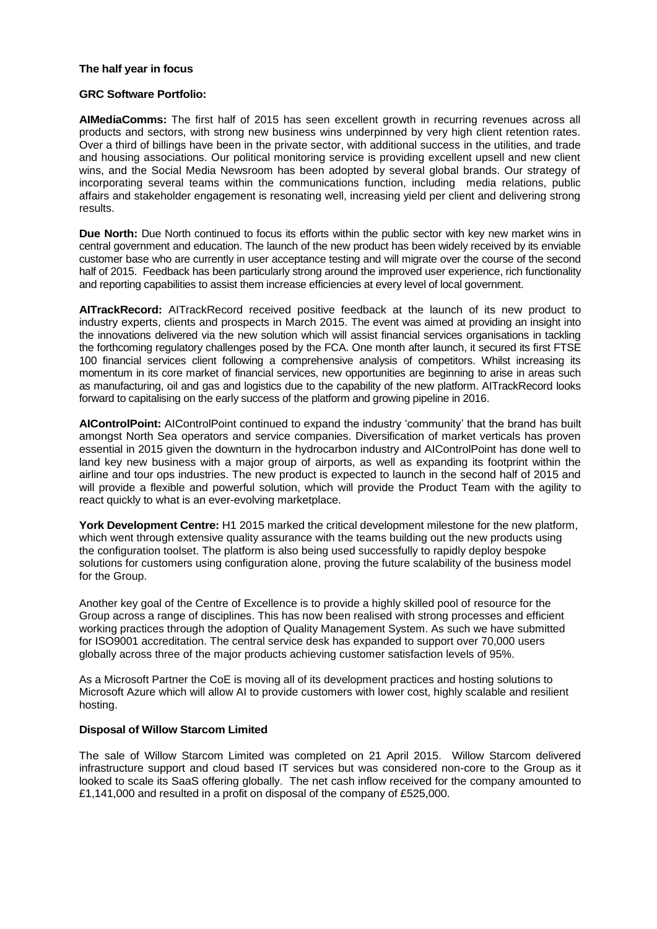#### **The half year in focus**

#### **GRC Software Portfolio:**

**AIMediaComms:** The first half of 2015 has seen excellent growth in recurring revenues across all products and sectors, with strong new business wins underpinned by very high client retention rates. Over a third of billings have been in the private sector, with additional success in the utilities, and trade and housing associations. Our political monitoring service is providing excellent upsell and new client wins, and the Social Media Newsroom has been adopted by several global brands. Our strategy of incorporating several teams within the communications function, including media relations, public affairs and stakeholder engagement is resonating well, increasing yield per client and delivering strong results.

**Due North:** Due North continued to focus its efforts within the public sector with key new market wins in central government and education. The launch of the new product has been widely received by its enviable customer base who are currently in user acceptance testing and will migrate over the course of the second half of 2015. Feedback has been particularly strong around the improved user experience, rich functionality and reporting capabilities to assist them increase efficiencies at every level of local government.

**AITrackRecord:** AITrackRecord received positive feedback at the launch of its new product to industry experts, clients and prospects in March 2015. The event was aimed at providing an insight into the innovations delivered via the new solution which will assist financial services organisations in tackling the forthcoming regulatory challenges posed by the FCA. One month after launch, it secured its first FTSE 100 financial services client following a comprehensive analysis of competitors. Whilst increasing its momentum in its core market of financial services, new opportunities are beginning to arise in areas such as manufacturing, oil and gas and logistics due to the capability of the new platform. AITrackRecord looks forward to capitalising on the early success of the platform and growing pipeline in 2016.

**AIControlPoint:** AIControlPoint continued to expand the industry 'community' that the brand has built amongst North Sea operators and service companies. Diversification of market verticals has proven essential in 2015 given the downturn in the hydrocarbon industry and AIControlPoint has done well to land key new business with a major group of airports, as well as expanding its footprint within the airline and tour ops industries. The new product is expected to launch in the second half of 2015 and will provide a flexible and powerful solution, which will provide the Product Team with the agility to react quickly to what is an ever-evolving marketplace.

**York Development Centre:** H1 2015 marked the critical development milestone for the new platform, which went through extensive quality assurance with the teams building out the new products using the configuration toolset. The platform is also being used successfully to rapidly deploy bespoke solutions for customers using configuration alone, proving the future scalability of the business model for the Group.

Another key goal of the Centre of Excellence is to provide a highly skilled pool of resource for the Group across a range of disciplines. This has now been realised with strong processes and efficient working practices through the adoption of Quality Management System. As such we have submitted for ISO9001 accreditation. The central service desk has expanded to support over 70,000 users globally across three of the major products achieving customer satisfaction levels of 95%.

As a Microsoft Partner the CoE is moving all of its development practices and hosting solutions to Microsoft Azure which will allow AI to provide customers with lower cost, highly scalable and resilient hosting.

#### **Disposal of Willow Starcom Limited**

The sale of Willow Starcom Limited was completed on 21 April 2015. Willow Starcom delivered infrastructure support and cloud based IT services but was considered non-core to the Group as it looked to scale its SaaS offering globally. The net cash inflow received for the company amounted to £1,141,000 and resulted in a profit on disposal of the company of £525,000.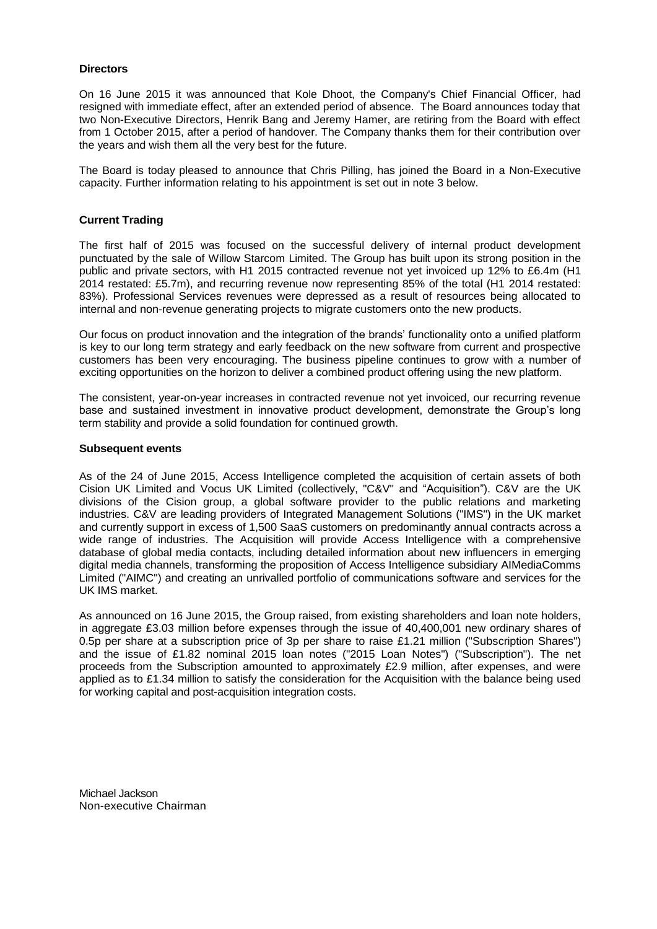#### **Directors**

On 16 June 2015 it was announced that Kole Dhoot, the Company's Chief Financial Officer, had resigned with immediate effect, after an extended period of absence. The Board announces today that two Non-Executive Directors, Henrik Bang and Jeremy Hamer, are retiring from the Board with effect from 1 October 2015, after a period of handover. The Company thanks them for their contribution over the years and wish them all the very best for the future.

The Board is today pleased to announce that Chris Pilling, has joined the Board in a Non-Executive capacity. Further information relating to his appointment is set out in note 3 below.

#### **Current Trading**

The first half of 2015 was focused on the successful delivery of internal product development punctuated by the sale of Willow Starcom Limited. The Group has built upon its strong position in the public and private sectors, with H1 2015 contracted revenue not yet invoiced up 12% to £6.4m (H1 2014 restated: £5.7m), and recurring revenue now representing 85% of the total (H1 2014 restated: 83%). Professional Services revenues were depressed as a result of resources being allocated to internal and non-revenue generating projects to migrate customers onto the new products.

Our focus on product innovation and the integration of the brands' functionality onto a unified platform is key to our long term strategy and early feedback on the new software from current and prospective customers has been very encouraging. The business pipeline continues to grow with a number of exciting opportunities on the horizon to deliver a combined product offering using the new platform.

The consistent, year-on-year increases in contracted revenue not yet invoiced, our recurring revenue base and sustained investment in innovative product development, demonstrate the Group's long term stability and provide a solid foundation for continued growth.

#### **Subsequent events**

As of the 24 of June 2015, Access Intelligence completed the acquisition of certain assets of both Cision UK Limited and Vocus UK Limited (collectively, "C&V" and "Acquisition"). C&V are the UK divisions of the Cision group, a global software provider to the public relations and marketing industries. C&V are leading providers of Integrated Management Solutions ("IMS") in the UK market and currently support in excess of 1,500 SaaS customers on predominantly annual contracts across a wide range of industries. The Acquisition will provide Access Intelligence with a comprehensive database of global media contacts, including detailed information about new influencers in emerging digital media channels, transforming the proposition of Access Intelligence subsidiary AIMediaComms Limited ("AIMC") and creating an unrivalled portfolio of communications software and services for the UK IMS market.

As announced on 16 June 2015, the Group raised, from existing shareholders and loan note holders, in aggregate £3.03 million before expenses through the issue of 40,400,001 new ordinary shares of 0.5p per share at a subscription price of 3p per share to raise £1.21 million ("Subscription Shares") and the issue of £1.82 nominal 2015 loan notes ("2015 Loan Notes") ("Subscription"). The net proceeds from the Subscription amounted to approximately £2.9 million, after expenses, and were applied as to £1.34 million to satisfy the consideration for the Acquisition with the balance being used for working capital and post-acquisition integration costs.

Michael Jackson Non-executive Chairman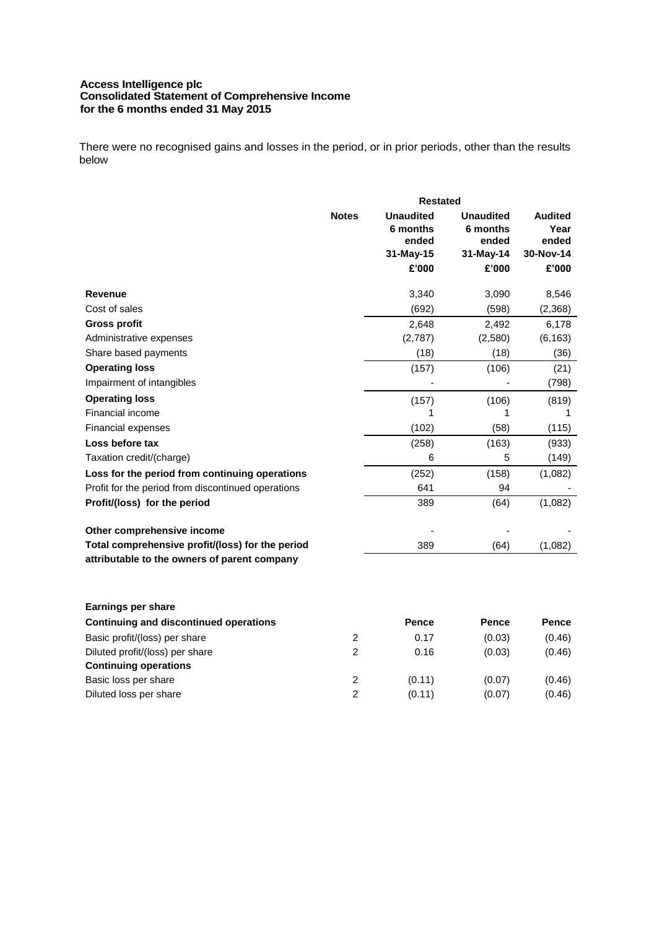## **Access Intelligence plc Consolidated Statement of Comprehensive Income for the 6 months ended 31 May 2015**

There were no recognised gains and losses in the period, or in prior periods, other than the results below

|                                                    | <b>Restated</b> |                                                    |                                                    |                                              |
|----------------------------------------------------|-----------------|----------------------------------------------------|----------------------------------------------------|----------------------------------------------|
|                                                    | <b>Notes</b>    | <b>Unaudited</b><br>6 months<br>ended<br>31-May-15 | <b>Unaudited</b><br>6 months<br>ended<br>31-May-14 | <b>Audited</b><br>Year<br>ended<br>30-Nov-14 |
|                                                    |                 | £'000                                              | £'000                                              | £'000                                        |
| <b>Revenue</b>                                     |                 | 3,340                                              | 3,090                                              | 8,546                                        |
| Cost of sales                                      |                 | (692)                                              | (598)                                              | (2,368)                                      |
| <b>Gross profit</b>                                |                 | 2,648                                              | 2,492                                              | 6,178                                        |
| Administrative expenses                            |                 | (2,787)                                            | (2,580)                                            | (6, 163)                                     |
| Share based payments                               |                 | (18)                                               | (18)                                               | (36)                                         |
| <b>Operating loss</b>                              |                 | (157)                                              | (106)                                              | (21)                                         |
| Impairment of intangibles                          |                 |                                                    |                                                    | (798)                                        |
| <b>Operating loss</b>                              |                 | (157)                                              | (106)                                              | (819)                                        |
| Financial income                                   |                 | 1                                                  | 1                                                  | 1                                            |
| <b>Financial expenses</b>                          |                 | (102)                                              | (58)                                               | (115)                                        |
| Loss before tax                                    |                 | (258)                                              | (163)                                              | (933)                                        |
| Taxation credit/(charge)                           |                 | 6                                                  | 5                                                  | (149)                                        |
| Loss for the period from continuing operations     |                 | (252)                                              | (158)                                              | (1,082)                                      |
| Profit for the period from discontinued operations |                 | 641                                                | 94                                                 |                                              |
| Profit/(loss) for the period                       |                 | 389                                                | (64)                                               | (1,082)                                      |
| Other comprehensive income                         |                 |                                                    |                                                    |                                              |
| Total comprehensive profit/(loss) for the period   |                 | 389                                                | (64)                                               | (1,082)                                      |
| attributable to the owners of parent company       |                 |                                                    |                                                    |                                              |
| <b>Earnings per share</b>                          |                 |                                                    |                                                    |                                              |
| <b>Continuing and discontinued operations</b>      |                 | <b>Pence</b>                                       | <b>Pence</b>                                       | <b>Pence</b>                                 |
| Basic profit/(loss) per share                      | 2               | 0.17                                               | (0.03)                                             | (0.46)                                       |
| Diluted profit/(loss) per share                    | $\overline{2}$  | 0.16                                               | (0.03)                                             | (0.46)                                       |
| <b>Continuing operations</b>                       |                 |                                                    |                                                    |                                              |
| Basic loss per share                               | $\overline{c}$  | (0.11)                                             | (0.07)                                             | (0.46)                                       |
| Diluted loss per share                             | $\overline{2}$  | (0.11)                                             | (0.07)                                             | (0.46)                                       |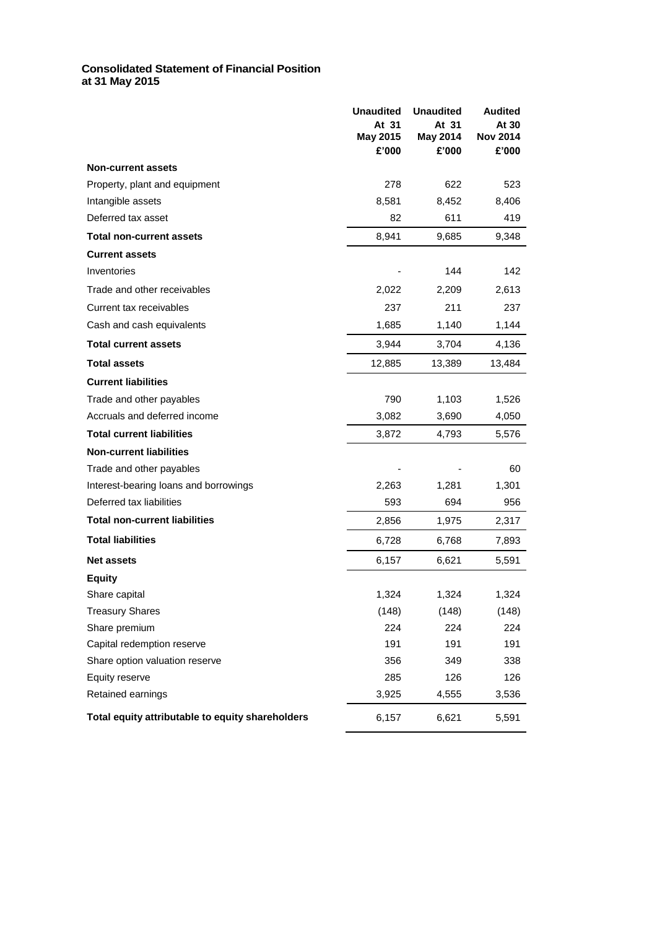#### **Consolidated Statement of Financial Position at 31 May 2015**

|                                                  | <b>Unaudited</b><br>At 31<br>May 2015<br>£'000 | <b>Unaudited</b><br>At 31<br>May 2014<br>£'000 | <b>Audited</b><br>At 30<br><b>Nov 2014</b><br>£'000 |
|--------------------------------------------------|------------------------------------------------|------------------------------------------------|-----------------------------------------------------|
| <b>Non-current assets</b>                        |                                                |                                                |                                                     |
| Property, plant and equipment                    | 278                                            | 622                                            | 523                                                 |
| Intangible assets                                | 8,581                                          | 8,452                                          | 8,406                                               |
| Deferred tax asset                               | 82                                             | 611                                            | 419                                                 |
| <b>Total non-current assets</b>                  | 8,941                                          | 9,685                                          | 9,348                                               |
| <b>Current assets</b>                            |                                                |                                                |                                                     |
| Inventories                                      |                                                | 144                                            | 142                                                 |
| Trade and other receivables                      | 2,022                                          | 2,209                                          | 2,613                                               |
| Current tax receivables                          | 237                                            | 211                                            | 237                                                 |
| Cash and cash equivalents                        | 1,685                                          | 1,140                                          | 1,144                                               |
| <b>Total current assets</b>                      | 3.944                                          | 3,704                                          | 4,136                                               |
| <b>Total assets</b>                              | 12,885                                         | 13,389                                         | 13,484                                              |
| <b>Current liabilities</b>                       |                                                |                                                |                                                     |
| Trade and other payables                         | 790                                            | 1,103                                          | 1,526                                               |
| Accruals and deferred income                     | 3,082                                          | 3,690                                          | 4,050                                               |
| <b>Total current liabilities</b>                 | 3,872                                          | 4,793                                          | 5,576                                               |
| <b>Non-current liabilities</b>                   |                                                |                                                |                                                     |
| Trade and other payables                         |                                                |                                                | 60                                                  |
| Interest-bearing loans and borrowings            | 2,263                                          | 1,281                                          | 1,301                                               |
| Deferred tax liabilities                         | 593                                            | 694                                            | 956                                                 |
| <b>Total non-current liabilities</b>             | 2,856                                          | 1,975                                          | 2,317                                               |
| <b>Total liabilities</b>                         | 6,728                                          | 6,768                                          | 7,893                                               |
| <b>Net assets</b>                                | 6,157                                          | 6,621                                          | 5,591                                               |
| <b>Equity</b>                                    |                                                |                                                |                                                     |
| Share capital                                    | 1,324                                          | 1,324                                          | 1,324                                               |
| <b>Treasury Shares</b>                           | (148)                                          | (148)                                          | (148)                                               |
| Share premium                                    | 224                                            | 224                                            | 224                                                 |
| Capital redemption reserve                       | 191                                            | 191                                            | 191                                                 |
| Share option valuation reserve                   | 356                                            | 349                                            | 338                                                 |
| Equity reserve                                   | 285                                            | 126                                            | 126                                                 |
| Retained earnings                                | 3,925                                          | 4,555                                          | 3,536                                               |
| Total equity attributable to equity shareholders | 6,157                                          | 6,621                                          | 5,591                                               |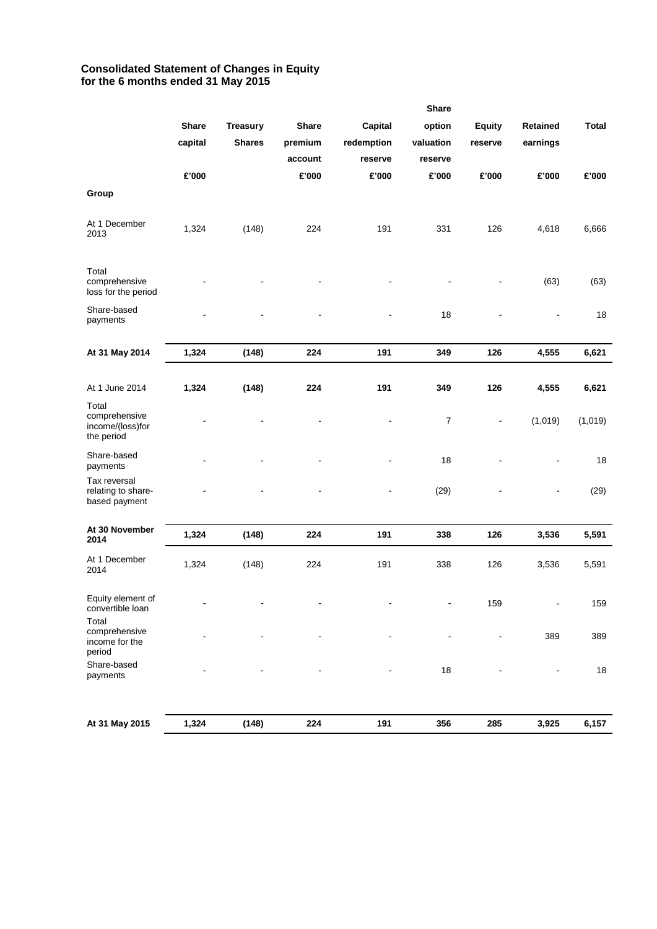## **Consolidated Statement of Changes in Equity for the 6 months ended 31 May 2015**

|                                                          |                |                          |                          |                          | <b>Share</b>             |               |                 |              |
|----------------------------------------------------------|----------------|--------------------------|--------------------------|--------------------------|--------------------------|---------------|-----------------|--------------|
|                                                          | <b>Share</b>   | <b>Treasury</b>          | <b>Share</b>             | Capital                  | option                   | <b>Equity</b> | <b>Retained</b> | <b>Total</b> |
|                                                          | capital        | <b>Shares</b>            | premium                  | redemption               | valuation                | reserve       | earnings        |              |
|                                                          |                |                          | account                  | reserve                  | reserve                  |               |                 |              |
|                                                          | £'000          |                          | £'000                    | £'000                    | £'000                    | £'000         | £'000           | £'000        |
| Group                                                    |                |                          |                          |                          |                          |               |                 |              |
| At 1 December<br>2013                                    | 1,324          | (148)                    | 224                      | 191                      | 331                      | 126           | 4,618           | 6,666        |
| Total<br>comprehensive<br>loss for the period            |                |                          |                          |                          | ÷,                       |               | (63)            | (63)         |
| Share-based<br>payments                                  |                |                          |                          |                          | 18                       |               |                 | 18           |
| At 31 May 2014                                           | 1,324          | (148)                    | 224                      | 191                      | 349                      | 126           | 4,555           | 6,621        |
|                                                          |                |                          |                          |                          |                          |               |                 |              |
| At 1 June 2014                                           | 1,324          | (148)                    | 224                      | 191                      | 349                      | 126           | 4,555           | 6,621        |
| Total<br>comprehensive<br>income/(loss)for<br>the period |                |                          |                          |                          | $\boldsymbol{7}$         |               | (1,019)         | (1,019)      |
| Share-based<br>payments                                  |                |                          |                          |                          | 18                       |               |                 | 18           |
| Tax reversal<br>relating to share-<br>based payment      |                |                          |                          | $\blacksquare$           | (29)                     |               | ۰               | (29)         |
| At 30 November                                           | 1,324          | (148)                    | 224                      | 191                      | 338                      | 126           | 3,536           | 5,591        |
| 2014                                                     |                |                          |                          |                          |                          |               |                 |              |
| At 1 December<br>2014                                    | 1,324          | (148)                    | 224                      | 191                      | 338                      | 126           | 3,536           | 5,591        |
| Equity element of<br>convertible loan<br>Total           | $\overline{a}$ | $\overline{\phantom{a}}$ | $\overline{\phantom{0}}$ | $\overline{\phantom{a}}$ | $\overline{\phantom{a}}$ | 159           | ÷               | 159          |
| comprehensive<br>income for the<br>period                |                |                          |                          |                          |                          |               | 389             | 389          |
| Share-based<br>payments                                  |                |                          |                          |                          | $18$                     |               | $\blacksquare$  | 18           |
|                                                          |                |                          |                          |                          |                          |               |                 |              |
| At 31 May 2015                                           | 1,324          | (148)                    | 224                      | 191                      | 356                      | 285           | 3,925           | 6,157        |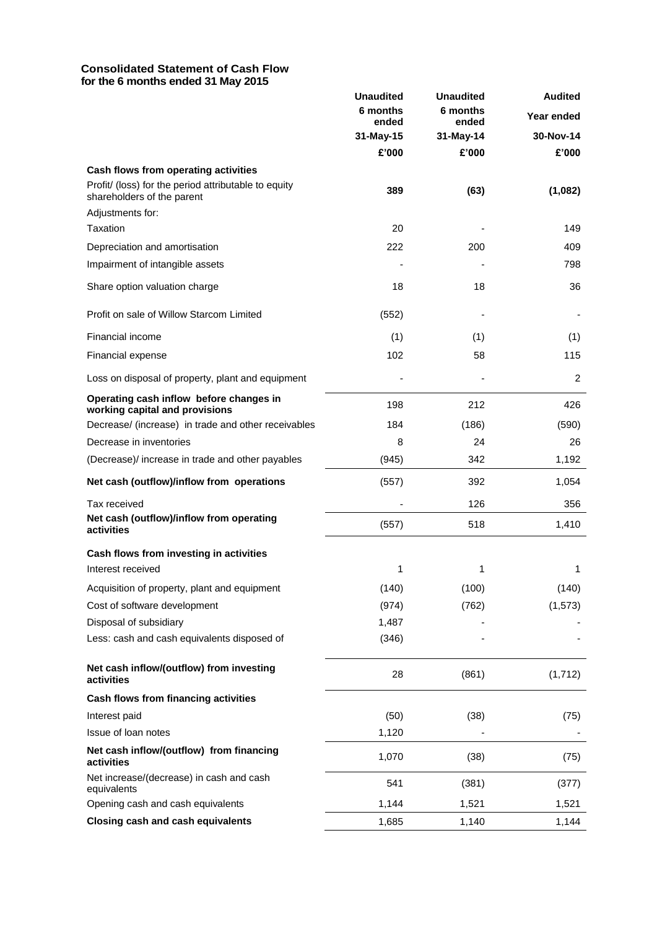#### **Consolidated Statement of Cash Flow for the 6 months ended 31 May 2015**

|                                                                                    | <b>Unaudited</b>  | <b>Unaudited</b>  | <b>Audited</b> |
|------------------------------------------------------------------------------------|-------------------|-------------------|----------------|
|                                                                                    | 6 months<br>ended | 6 months<br>ended | Year ended     |
|                                                                                    | 31-May-15         | 31-May-14         | 30-Nov-14      |
|                                                                                    | £'000             | £'000             | £'000          |
| Cash flows from operating activities                                               |                   |                   |                |
| Profit/ (loss) for the period attributable to equity<br>shareholders of the parent | 389               | (63)              | (1,082)        |
| Adjustments for:                                                                   |                   |                   |                |
| Taxation                                                                           | 20                |                   | 149            |
| Depreciation and amortisation                                                      | 222               | 200               | 409            |
| Impairment of intangible assets                                                    |                   |                   | 798            |
| Share option valuation charge                                                      | 18                | 18                | 36             |
| Profit on sale of Willow Starcom Limited                                           | (552)             |                   |                |
| Financial income                                                                   | (1)               | (1)               | (1)            |
| Financial expense                                                                  | 102               | 58                | 115            |
| Loss on disposal of property, plant and equipment                                  |                   |                   | $\overline{c}$ |
| Operating cash inflow before changes in<br>working capital and provisions          | 198               | 212               | 426            |
| Decrease/ (increase) in trade and other receivables                                | 184               | (186)             | (590)          |
| Decrease in inventories                                                            | 8                 | 24                | 26             |
| (Decrease) increase in trade and other payables                                    | (945)             | 342               | 1,192          |
| Net cash (outflow)/inflow from operations                                          | (557)             | 392               | 1,054          |
| Tax received                                                                       |                   | 126               | 356            |
| Net cash (outflow)/inflow from operating<br>activities                             | (557)             | 518               | 1,410          |
| Cash flows from investing in activities                                            |                   |                   |                |
| Interest received                                                                  | 1                 | 1                 | 1              |
| Acquisition of property, plant and equipment                                       | (140)             | (100)             | (140)          |
| Cost of software development                                                       | (974)             | (762)             | (1, 573)       |
| Disposal of subsidiary                                                             | 1,487             |                   |                |
| Less: cash and cash equivalents disposed of                                        | (346)             |                   |                |
| Net cash inflow/(outflow) from investing<br>activities                             | 28                | (861)             | (1,712)        |
| Cash flows from financing activities                                               |                   |                   |                |
| Interest paid                                                                      | (50)              | (38)              | (75)           |
| Issue of loan notes                                                                | 1,120             |                   |                |
| Net cash inflow/(outflow) from financing<br>activities                             | 1,070             | (38)              | (75)           |
| Net increase/(decrease) in cash and cash<br>equivalents                            | 541               | (381)             | (377)          |
| Opening cash and cash equivalents                                                  | 1,144             | 1,521             | 1,521          |
| <b>Closing cash and cash equivalents</b>                                           | 1,685             | 1,140             | 1,144          |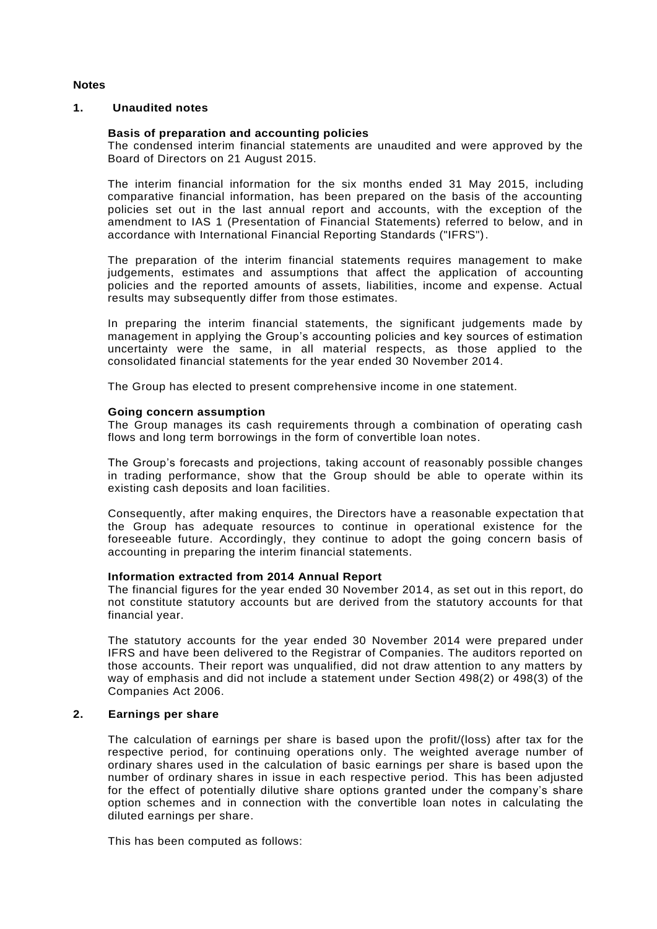## **Notes**

#### **1. Unaudited notes**

## **Basis of preparation and accounting policies**

The condensed interim financial statements are unaudited and were approved by the Board of Directors on 21 August 2015.

The interim financial information for the six months ended 31 May 2015, including comparative financial information, has been prepared on the basis of the accounting policies set out in the last annual report and accounts, with the exception of the amendment to IAS 1 (Presentation of Financial Statements) referred to below, and in accordance with International Financial Reporting Standards ("IFRS").

The preparation of the interim financial statements requires management to make judgements, estimates and assumptions that affect the application of accounting policies and the reported amounts of assets, liabilities, income and expense. Actual results may subsequently differ from those estimates.

In preparing the interim financial statements, the significant judgements made by management in applying the Group's accounting policies and key sources of estimation uncertainty were the same, in all material respects, as those applied to the consolidated financial statements for the year ended 30 November 2014.

The Group has elected to present comprehensive income in one statement.

#### **Going concern assumption**

The Group manages its cash requirements through a combination of operating cash flows and long term borrowings in the form of convertible loan notes.

The Group's forecasts and projections, taking account of reasonably possible changes in trading performance, show that the Group should be able to operate within its existing cash deposits and loan facilities.

Consequently, after making enquires, the Directors have a reasonable expectation th at the Group has adequate resources to continue in operational existence for the foreseeable future. Accordingly, they continue to adopt the going concern basis of accounting in preparing the interim financial statements.

#### **Information extracted from 2014 Annual Report**

The financial figures for the year ended 30 November 2014, as set out in this report, do not constitute statutory accounts but are derived from the statutory accounts for that financial year.

The statutory accounts for the year ended 30 November 2014 were prepared under IFRS and have been delivered to the Registrar of Companies. The auditors reported on those accounts. Their report was unqualified, did not draw attention to any matters by way of emphasis and did not include a statement under Section 498(2) or 498(3) of the Companies Act 2006.

#### **2. Earnings per share**

The calculation of earnings per share is based upon the profit/(loss) after tax for the respective period, for continuing operations only. The weighted average number of ordinary shares used in the calculation of basic earnings per share is based upon the number of ordinary shares in issue in each respective period. This has been adjusted for the effect of potentially dilutive share options granted under the company's share option schemes and in connection with the convertible loan notes in calculating the diluted earnings per share.

This has been computed as follows: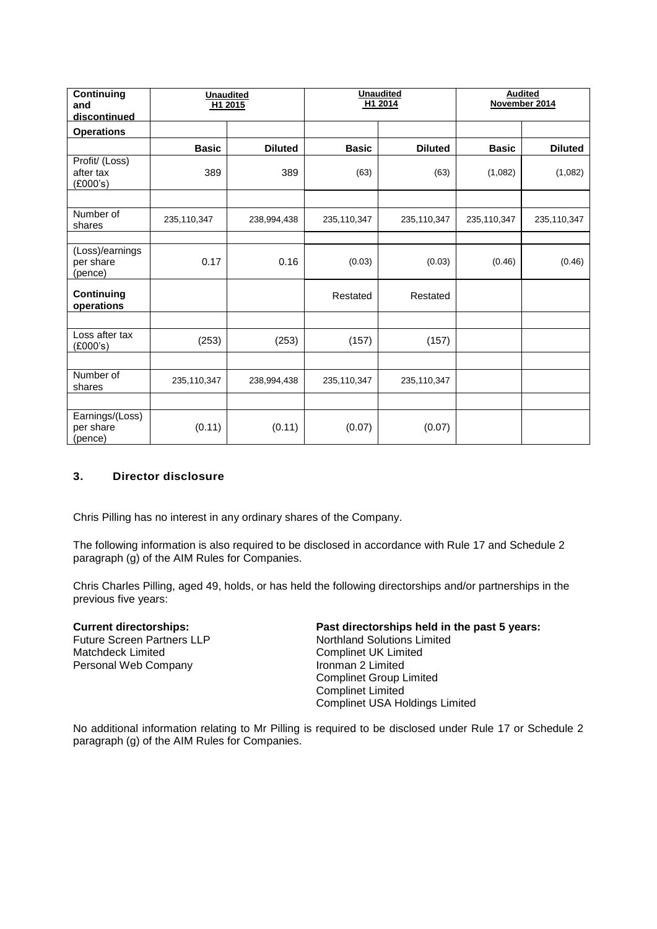| <b>Continuing</b><br>and<br>discontinued | <b>Unaudited</b> | H1 2015        | <b>Unaudited</b><br>H1 2014 |                | <b>Audited</b><br>November 2014 |                |
|------------------------------------------|------------------|----------------|-----------------------------|----------------|---------------------------------|----------------|
| <b>Operations</b>                        |                  |                |                             |                |                                 |                |
|                                          | <b>Basic</b>     | <b>Diluted</b> | <b>Basic</b>                | <b>Diluted</b> | <b>Basic</b>                    | <b>Diluted</b> |
| Profit/ (Loss)<br>after tax<br>(E000's)  | 389              | 389            | (63)                        | (63)           | (1,082)                         | (1,082)        |
|                                          |                  |                |                             |                |                                 |                |
| Number of<br>shares                      | 235,110,347      | 238,994,438    | 235,110,347                 | 235,110,347    | 235,110,347                     | 235,110,347    |
|                                          |                  |                |                             |                |                                 |                |
| (Loss)/earnings<br>per share<br>(pence)  | 0.17             | 0.16           | (0.03)                      | (0.03)         | (0.46)                          | (0.46)         |
| <b>Continuing</b><br>operations          |                  |                | Restated                    | Restated       |                                 |                |
|                                          |                  |                |                             |                |                                 |                |
| Loss after tax<br>(E000's)               | (253)            | (253)          | (157)                       | (157)          |                                 |                |
|                                          |                  |                |                             |                |                                 |                |
| Number of<br>shares                      | 235,110,347      | 238,994,438    | 235,110,347                 | 235,110,347    |                                 |                |
|                                          |                  |                |                             |                |                                 |                |
| Earnings/(Loss)<br>per share<br>(pence)  | (0.11)           | (0.11)         | (0.07)                      | (0.07)         |                                 |                |

# **3. Director disclosure**

Chris Pilling has no interest in any ordinary shares of the Company.

The following information is also required to be disclosed in accordance with Rule 17 and Schedule 2 paragraph (g) of the AIM Rules for Companies.

Chris Charles Pilling, aged 49, holds, or has held the following directorships and/or partnerships in the previous five years:

Future Screen Partners LLP Matchdeck Limited Personal Web Company

#### **Current directorships: Past directorships held in the past 5 years:** Northland Solutions Limited Complinet UK Limited Ironman 2 Limited Complinet Group Limited Complinet Limited Complinet USA Holdings Limited

No additional information relating to Mr Pilling is required to be disclosed under Rule 17 or Schedule 2 paragraph (g) of the AIM Rules for Companies.